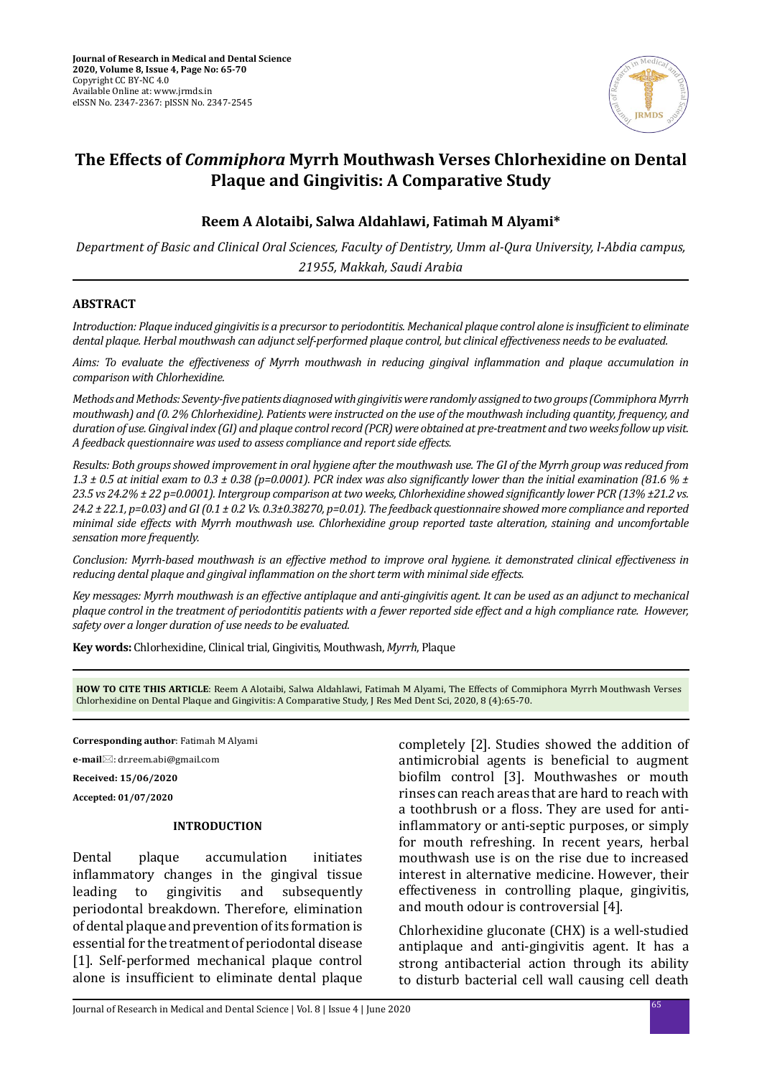

# **The Effects of** *Commiphora* **Myrrh Mouthwash Verses Chlorhexidine on Dental Plaque and Gingivitis: A Comparative Study**

### **Reem A Alotaibi, Salwa Aldahlawi, Fatimah M Alyami\***

*Department of Basic and Clinical Oral Sciences, Faculty of Dentistry, Umm al-Qura University, l-Abdia campus, 21955, Makkah, Saudi Arabia*

#### **ABSTRACT**

*Introduction: Plaque induced gingivitis is a precursor to periodontitis. Mechanical plaque control alone is insufficient to eliminate dental plaque. Herbal mouthwash can adjunct self-performed plaque control, but clinical effectiveness needs to be evaluated.*

*Aims: To evaluate the effectiveness of Myrrh mouthwash in reducing gingival inflammation and plaque accumulation in comparison with Chlorhexidine.* 

*Methods and Methods: Seventy-five patients diagnosed with gingivitis were randomly assigned to two groups (Commiphora Myrrh mouthwash) and (0. 2% Chlorhexidine). Patients were instructed on the use of the mouthwash including quantity, frequency, and duration of use. Gingival index (GI) and plaque control record (PCR) were obtained at pre-treatment and two weeks follow up visit. A feedback questionnaire was used to assess compliance and report side effects.* 

*Results: Both groups showed improvement in oral hygiene after the mouthwash use. The GI of the Myrrh group was reduced from 1.3 ± 0.5 at initial exam to 0.3 ± 0.38 (p=0.0001). PCR index was also significantly lower than the initial examination (81.6 % ± 23.5 vs 24.2% ± 22 p=0.0001). Intergroup comparison at two weeks, Chlorhexidine showed significantly lower PCR (13% ±21.2 vs. 24.2 ± 22.1, p=0.03) and GI (0.1 ± 0.2 Vs. 0.3±0.38270, p=0.01). The feedback questionnaire showed more compliance and reported minimal side effects with Myrrh mouthwash use. Chlorhexidine group reported taste alteration, staining and uncomfortable sensation more frequently.*

*Conclusion: Myrrh-based mouthwash is an effective method to improve oral hygiene. it demonstrated clinical effectiveness in reducing dental plaque and gingival inflammation on the short term with minimal side effects.*

*Key messages: Myrrh mouthwash is an effective antiplaque and anti-gingivitis agent. It can be used as an adjunct to mechanical plaque control in the treatment of periodontitis patients with a fewer reported side effect and a high compliance rate. However, safety over a longer duration of use needs to be evaluated.*

**Key words:** Chlorhexidine, Clinical trial, Gingivitis, Mouthwash, *Myrrh*, Plaque

**HOW TO CITE THIS ARTICLE**: Reem A Alotaibi, Salwa Aldahlawi, Fatimah M Alyami, The Effects of Commiphora Myrrh Mouthwash Verses Chlorhexidine on Dental Plaque and Gingivitis: A Comparative Study, J Res Med Dent Sci, 2020, 8 (4):65-70.

**Corresponding author**: Fatimah M Alyami **e-mail**⊠: dr.reem.abi@gmail.com **Received: 15/06/2020**

#### **Accepted: 01/07/2020**

#### **INTRODUCTION**

Dental plaque accumulation initiates inflammatory changes in the gingival tissue<br>leading to gingivitis and subsequently subsequently periodontal breakdown. Therefore, elimination of dental plaque and prevention of its formation is essential for the treatment of periodontal disease [1]. Self-performed mechanical plaque control alone is insufficient to eliminate dental plaque completely [2]. Studies showed the addition of antimicrobial agents is beneficial to augment biofilm control [3]. Mouthwashes or mouth rinses can reach areas that are hard to reach with a toothbrush or a floss. They are used for antiinflammatory or anti-septic purposes, or simply for mouth refreshing. In recent years, herbal mouthwash use is on the rise due to increased interest in alternative medicine. However, their effectiveness in controlling plaque, gingivitis, and mouth odour is controversial [4].

Chlorhexidine gluconate (CHX) is a well-studied antiplaque and anti-gingivitis agent. It has a strong antibacterial action through its ability to disturb bacterial cell wall causing cell death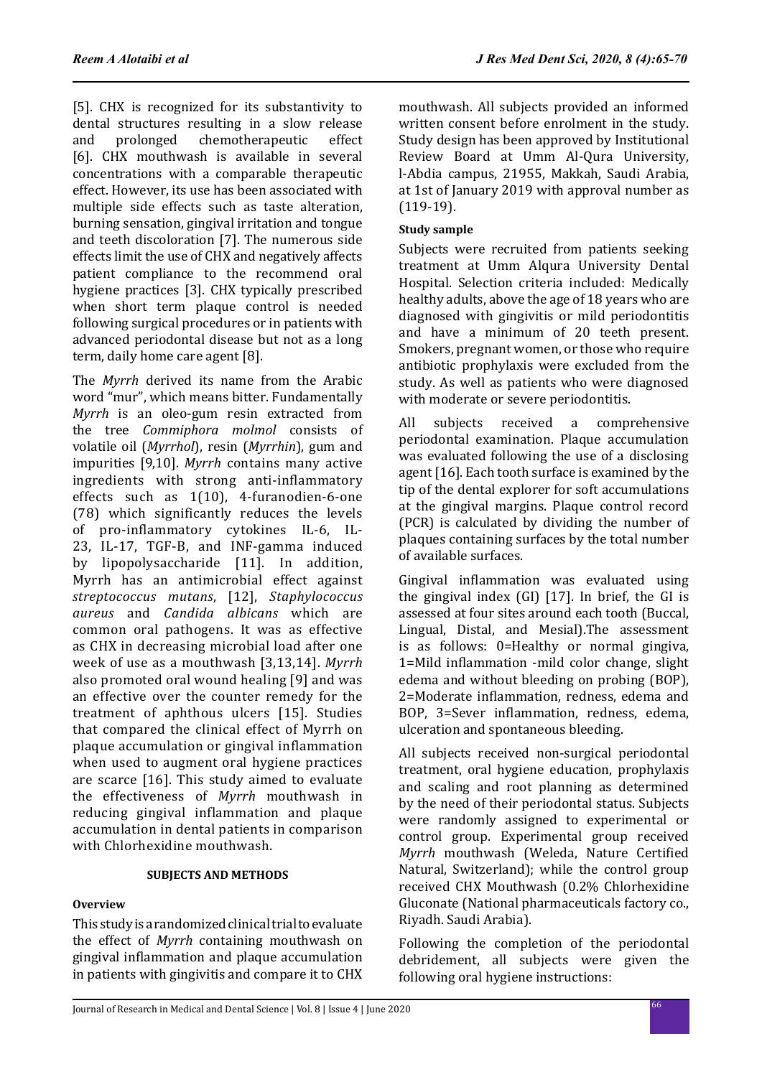[5]. CHX is recognized for its substantivity to dental structures resulting in a slow release<br>and prolonged chemotherapeutic effect chemotherapeutic [6]. CHX mouthwash is available in several concentrations with a comparable therapeutic effect. However, its use has been associated with multiple side effects such as taste alteration, burning sensation, gingival irritation and tongue and teeth discoloration [7]. The numerous side effects limit the use of CHX and negatively affects patient compliance to the recommend oral hygiene practices [3]. CHX typically prescribed when short term plaque control is needed following surgical procedures or in patients with advanced periodontal disease but not as a long term, daily home care agent [8].

The *Myrrh* derived its name from the Arabic word "mur", which means bitter. Fundamentally *Myrrh* is an oleo-gum resin extracted from the tree *Commiphora molmol* consists of volatile oil (*Myrrhol*), resin (*Myrrhin*), gum and impurities [9,10]. *Myrrh* contains many active ingredients with strong anti-inflammatory effects such as 1(10), 4-furanodien-6-one (78) which significantly reduces the levels of pro-inflammatory cytokines IL-6, IL-23, IL-17, TGF-B, and INF-gamma induced by lipopolysaccharide [11]. In addition, Myrrh has an antimicrobial effect against *streptococcus mutans*, [12], *Staphylococcus aureus* and *Candida albicans* which are common oral pathogens. It was as effective as CHX in decreasing microbial load after one week of use as a mouthwash [3,13,14]. *Myrrh* also promoted oral wound healing [9] and was an effective over the counter remedy for the treatment of aphthous ulcers [15]. Studies that compared the clinical effect of Myrrh on plaque accumulation or gingival inflammation when used to augment oral hygiene practices are scarce [16]. This study aimed to evaluate the effectiveness of *Myrrh* mouthwash in reducing gingival inflammation and plaque accumulation in dental patients in comparison with Chlorhexidine mouthwash.

### **SUBJECTS AND METHODS**

# **Overview**

This study is a randomized clinical trial to evaluate the effect of *Myrrh* containing mouthwash on gingival inflammation and plaque accumulation in patients with gingivitis and compare it to CHX mouthwash. All subjects provided an informed written consent before enrolment in the study. Study design has been approved by Institutional Review Board at Umm Al-Qura University, l-Abdia campus, 21955, Makkah, Saudi Arabia, at 1st of January 2019 with approval number as (119-19).

## **Study sample**

Subjects were recruited from patients seeking treatment at Umm Alqura University Dental Hospital. Selection criteria included: Medically healthy adults, above the age of 18 years who are diagnosed with gingivitis or mild periodontitis and have a minimum of 20 teeth present. Smokers, pregnant women, or those who require antibiotic prophylaxis were excluded from the study. As well as patients who were diagnosed with moderate or severe periodontitis.

All subjects received a comprehensive periodontal examination. Plaque accumulation was evaluated following the use of a disclosing agent [16]. Each tooth surface is examined by the tip of the dental explorer for soft accumulations at the gingival margins. Plaque control record (PCR) is calculated by dividing the number of plaques containing surfaces by the total number of available surfaces.

Gingival inflammation was evaluated using the gingival index (GI) [17]. In brief, the GI is assessed at four sites around each tooth (Buccal, Lingual, Distal, and Mesial).The assessment is as follows: 0=Healthy or normal gingiva, 1=Mild inflammation -mild color change, slight edema and without bleeding on probing (BOP), 2=Moderate inflammation, redness, edema and BOP, 3=Sever inflammation, redness, edema, ulceration and spontaneous bleeding.

All subjects received non-surgical periodontal treatment, oral hygiene education, prophylaxis and scaling and root planning as determined by the need of their periodontal status. Subjects were randomly assigned to experimental or control group. Experimental group received *Myrrh* mouthwash (Weleda, Nature Certified Natural, Switzerland); while the control group received CHX Mouthwash (0.2% Chlorhexidine Gluconate (National pharmaceuticals factory co., Riyadh. Saudi Arabia).

Following the completion of the periodontal debridement, all subjects were given the following oral hygiene instructions: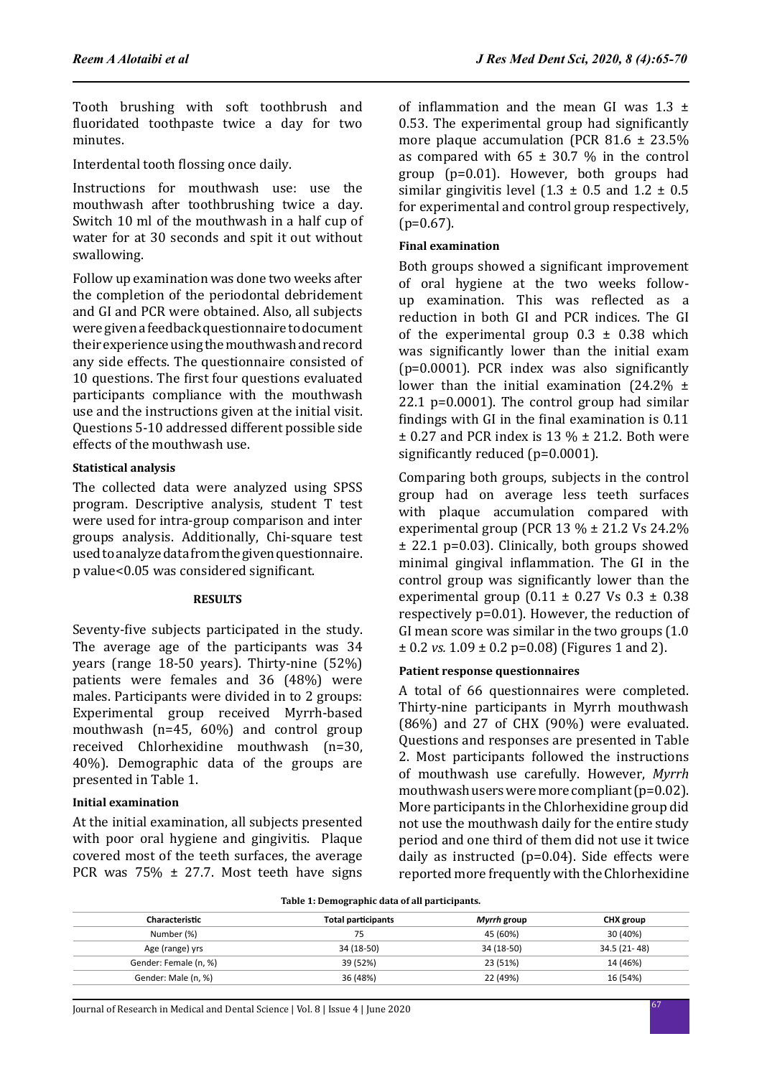Tooth brushing with soft toothbrush and fluoridated toothpaste twice a day for two minutes.

Interdental tooth flossing once daily.

Instructions for mouthwash use: use the mouthwash after toothbrushing twice a day. Switch 10 ml of the mouthwash in a half cup of water for at 30 seconds and spit it out without swallowing.

Follow up examination was done two weeks after the completion of the periodontal debridement and GI and PCR were obtained. Also, all subjects were given a feedback questionnaire to document their experience using the mouthwash and record any side effects. The questionnaire consisted of 10 questions. The first four questions evaluated participants compliance with the mouthwash use and the instructions given at the initial visit. Questions 5-10 addressed different possible side effects of the mouthwash use.

# **Statistical analysis**

The collected data were analyzed using SPSS program. Descriptive analysis, student T test were used for intra-group comparison and inter groups analysis. Additionally, Chi-square test used to analyze data from the given questionnaire. p value<0.05 was considered significant.

#### **RESULTS**

Seventy-five subjects participated in the study. The average age of the participants was 34 years (range 18-50 years). Thirty-nine (52%) patients were females and 36 (48%) were males. Participants were divided in to 2 groups: Experimental group received Myrrh-based mouthwash (n=45, 60%) and control group received Chlorhexidine mouthwash (n=30, 40%). Demographic data of the groups are presented in Table 1.

### **Initial examination**

At the initial examination, all subjects presented with poor oral hygiene and gingivitis. Plaque covered most of the teeth surfaces, the average PCR was  $75\% \pm 27.7$ . Most teeth have signs of inflammation and the mean GI was  $1.3 \pm$ 0.53. The experimental group had significantly more plaque accumulation (PCR  $81.6 \pm 23.5\%$ as compared with  $65 \pm 30.7$  % in the control group (p=0.01). However, both groups had similar gingivitis level  $(1.3 \pm 0.5 \text{ and } 1.2 \pm 0.5 \text{)}$ for experimental and control group respectively,  $(p=0.67)$ .

# **Final examination**

Both groups showed a significant improvement of oral hygiene at the two weeks followup examination. This was reflected as a reduction in both GI and PCR indices. The GI of the experimental group  $0.3 \pm 0.38$  which was significantly lower than the initial exam (p=0.0001). PCR index was also significantly lower than the initial examination  $(24.2\%$   $\pm$ 22.1 p=0.0001). The control group had similar findings with GI in the final examination is 0.11  $\pm$  0.27 and PCR index is 13 %  $\pm$  21.2. Both were significantly reduced (p=0.0001).

Comparing both groups, subjects in the control group had on average less teeth surfaces with plaque accumulation compared with experimental group (PCR 13 % ± 21.2 Vs 24.2% ± 22.1 p=0.03). Clinically, both groups showed minimal gingival inflammation. The GI in the control group was significantly lower than the experimental group  $(0.11 \pm 0.27 \text{ Vs } 0.3 \pm 0.38)$ respectively p=0.01). However, the reduction of GI mean score was similar in the two groups (1.0  $\pm$  0.2 *vs.* 1.09  $\pm$  0.2 p=0.08) (Figures 1 and 2).

# **Patient response questionnaires**

A total of 66 questionnaires were completed. Thirty-nine participants in Myrrh mouthwash  $(86%)$  and 27 of CHX  $(90%)$  were evaluated. Questions and responses are presented in Table 2. Most participants followed the instructions of mouthwash use carefully. However, *Myrrh* mouthwash users were more compliant (p=0.02). More participants in the Chlorhexidine group did not use the mouthwash daily for the entire study period and one third of them did not use it twice daily as instructed (p=0.04). Side effects were reported more frequently with the Chlorhexidine

| Table 1. Demographic data of an participants. |             |              |  |  |  |
|-----------------------------------------------|-------------|--------------|--|--|--|
| <b>Total participants</b>                     | Myrrh group | CHX group    |  |  |  |
| 75                                            | 45 (60%)    | 30 (40%)     |  |  |  |
| 34 (18-50)                                    | 34 (18-50)  | 34.5 (21-48) |  |  |  |
| 39 (52%)                                      | 23 (51%)    | 14 (46%)     |  |  |  |
| 36 (48%)                                      | 22 (49%)    | 16 (54%)     |  |  |  |
|                                               |             |              |  |  |  |

**Table 1: Demographic data of all participants.**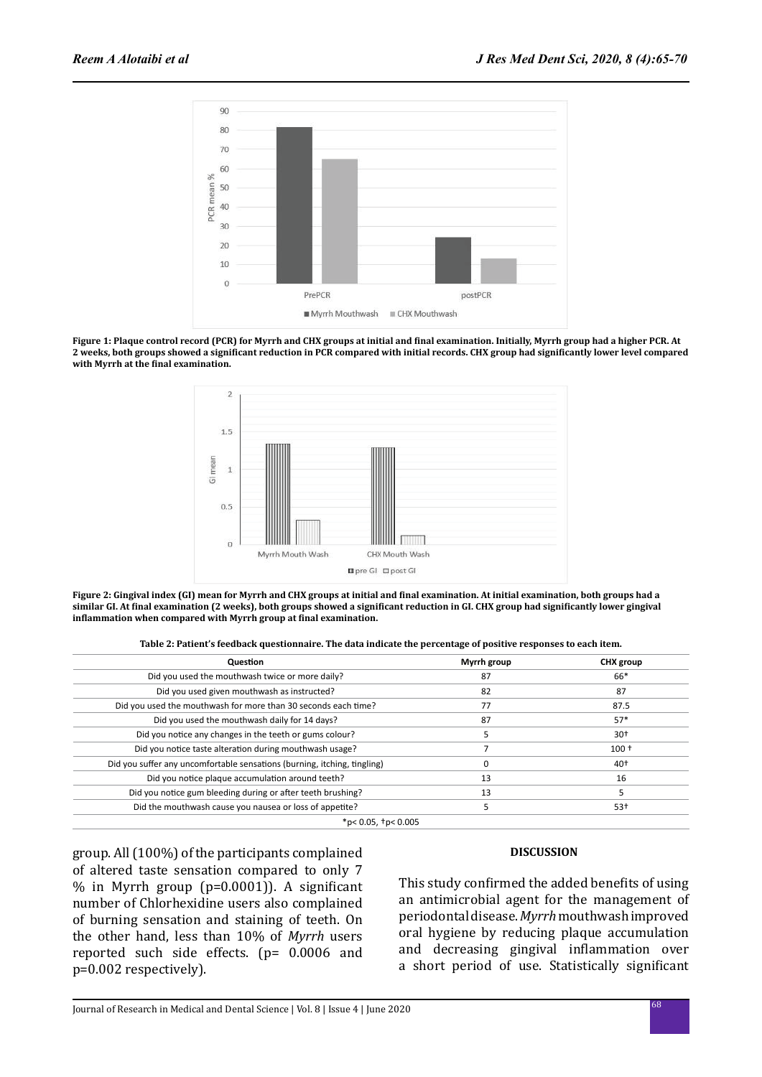

**Figure 1: Plaque control record (PCR) for Myrrh and CHX groups at initial and final examination. Initially, Myrrh group had a higher PCR. At 2 weeks, both groups showed a significant reduction in PCR compared with initial records. CHX group had significantly lower level compared with Myrrh at the final examination.**



**Figure 2: Gingival index (GI) mean for Myrrh and CHX groups at initial and final examination. At initial examination, both groups had a similar GI. At final examination (2 weeks), both groups showed a significant reduction in GI. CHX group had significantly lower gingival inflammation when compared with Myrrh group at final examination.**

| Table 2: Patient's feedback questionnaire. The data indicate the percentage of positive responses to each item. |  |  |  |
|-----------------------------------------------------------------------------------------------------------------|--|--|--|
|                                                                                                                 |  |  |  |

| Question                                                                 | Myrrh group | <b>CHX</b> group |  |
|--------------------------------------------------------------------------|-------------|------------------|--|
| Did you used the mouthwash twice or more daily?                          | 87          | 66*              |  |
| Did you used given mouthwash as instructed?                              | 82          | 87               |  |
| Did you used the mouthwash for more than 30 seconds each time?           | 77          | 87.5<br>$57*$    |  |
| Did you used the mouthwash daily for 14 days?                            | 87          |                  |  |
| Did you notice any changes in the teeth or gums colour?                  |             | $30+$            |  |
| Did you notice taste alteration during mouthwash usage?                  |             | $100+$           |  |
| Did you suffer any uncomfortable sensations (burning, itching, tingling) | 0           | $40+$            |  |
| Did you notice plaque accumulation around teeth?                         | 13          | 16               |  |
| Did you notice gum bleeding during or after teeth brushing?              | 13          | 5                |  |
| Did the mouthwash cause you nausea or loss of appetite?                  |             | $53+$            |  |

\*p< 0.05, †p< 0.005

group. All (100%) of the participants complained of altered taste sensation compared to only 7 % in Myrrh group (p=0.0001)). A significant number of Chlorhexidine users also complained of burning sensation and staining of teeth. On the other hand, less than 10% of *Myrrh* users reported such side effects. (p= 0.0006 and p=0.002 respectively).

#### **DISCUSSION**

This study confirmed the added benefits of using an antimicrobial agent for the management of periodontal disease. *Myrrh* mouthwash improved oral hygiene by reducing plaque accumulation and decreasing gingival inflammation over a short period of use. Statistically significant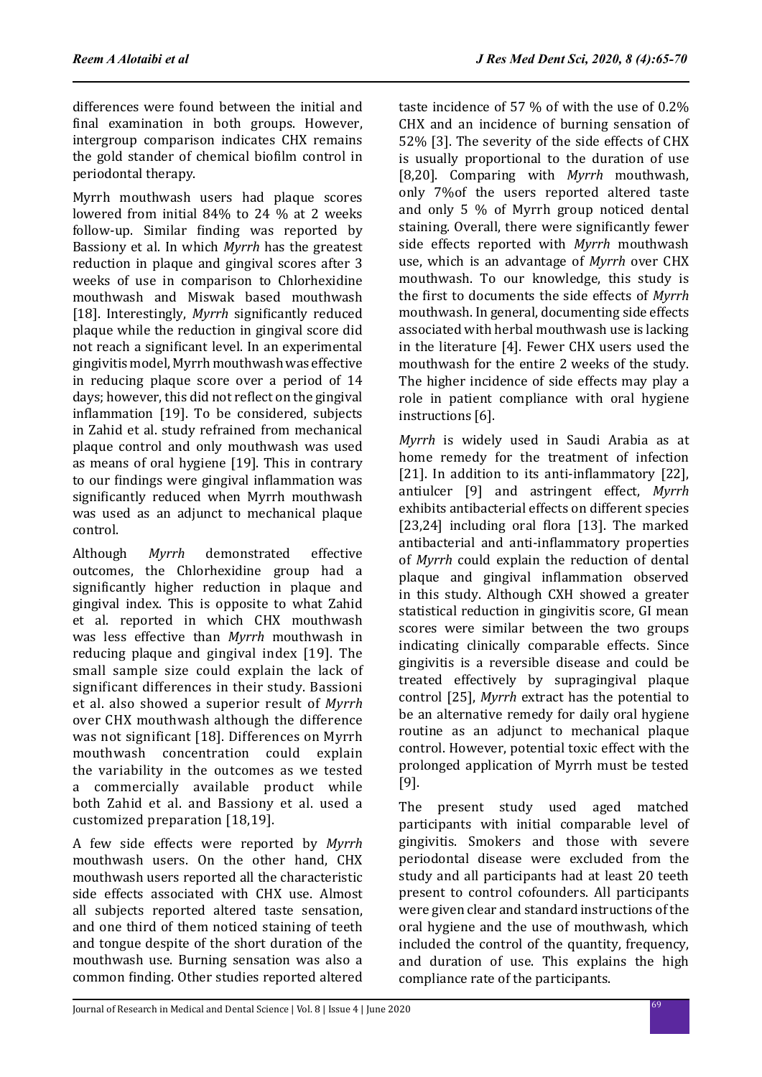differences were found between the initial and final examination in both groups. However, intergroup comparison indicates CHX remains the gold stander of chemical biofilm control in periodontal therapy.

Myrrh mouthwash users had plaque scores lowered from initial 84% to 24 % at 2 weeks follow-up. Similar finding was reported by Bassiony et al. In which *Myrrh* has the greatest reduction in plaque and gingival scores after 3 weeks of use in comparison to Chlorhexidine mouthwash and Miswak based mouthwash [18]. Interestingly, *Myrrh* significantly reduced plaque while the reduction in gingival score did not reach a significant level. In an experimental gingivitis model, Myrrh mouthwash was effective in reducing plaque score over a period of 14 days; however, this did not reflect on the gingival inflammation [19]. To be considered, subjects in Zahid et al. study refrained from mechanical plaque control and only mouthwash was used as means of oral hygiene [19]. This in contrary to our findings were gingival inflammation was significantly reduced when Myrrh mouthwash was used as an adjunct to mechanical plaque control.

Although *Myrrh* demonstrated effective outcomes, the Chlorhexidine group had a significantly higher reduction in plaque and gingival index. This is opposite to what Zahid et al. reported in which CHX mouthwash was less effective than *Myrrh* mouthwash in reducing plaque and gingival index [19]. The small sample size could explain the lack of significant differences in their study. Bassioni et al. also showed a superior result of *Myrrh* over CHX mouthwash although the difference was not significant [18]. Differences on Myrrh mouthwash concentration could explain the variability in the outcomes as we tested a commercially available product while both Zahid et al. and Bassiony et al. used a customized preparation [18,19].

A few side effects were reported by *Myrrh* mouthwash users. On the other hand, CHX mouthwash users reported all the characteristic side effects associated with CHX use. Almost all subjects reported altered taste sensation, and one third of them noticed staining of teeth and tongue despite of the short duration of the mouthwash use. Burning sensation was also a common finding. Other studies reported altered taste incidence of 57 % of with the use of 0.2% CHX and an incidence of burning sensation of 52% [3]. The severity of the side effects of CHX is usually proportional to the duration of use [8,20]. Comparing with *Myrrh* mouthwash, only 7%of the users reported altered taste and only 5 % of Myrrh group noticed dental staining. Overall, there were significantly fewer side effects reported with *Myrrh* mouthwash use, which is an advantage of *Myrrh* over CHX mouthwash. To our knowledge, this study is the first to documents the side effects of *Myrrh* mouthwash. In general, documenting side effects associated with herbal mouthwash use is lacking in the literature [4]. Fewer CHX users used the mouthwash for the entire 2 weeks of the study. The higher incidence of side effects may play a role in patient compliance with oral hygiene instructions [6].

*Myrrh* is widely used in Saudi Arabia as at home remedy for the treatment of infection [21]. In addition to its anti-inflammatory [22]. antiulcer [9] and astringent effect, *Myrrh* exhibits antibacterial effects on different species [23,24] including oral flora [13]. The marked antibacterial and anti-inflammatory properties of *Myrrh* could explain the reduction of dental plaque and gingival inflammation observed in this study. Although CXH showed a greater statistical reduction in gingivitis score, GI mean scores were similar between the two groups indicating clinically comparable effects. Since gingivitis is a reversible disease and could be treated effectively by supragingival plaque control [25], *Myrrh* extract has the potential to be an alternative remedy for daily oral hygiene routine as an adjunct to mechanical plaque control. However, potential toxic effect with the prolonged application of Myrrh must be tested [9].

The present study used aged matched participants with initial comparable level of gingivitis. Smokers and those with severe periodontal disease were excluded from the study and all participants had at least 20 teeth present to control cofounders. All participants were given clear and standard instructions of the oral hygiene and the use of mouthwash, which included the control of the quantity, frequency, and duration of use. This explains the high compliance rate of the participants.